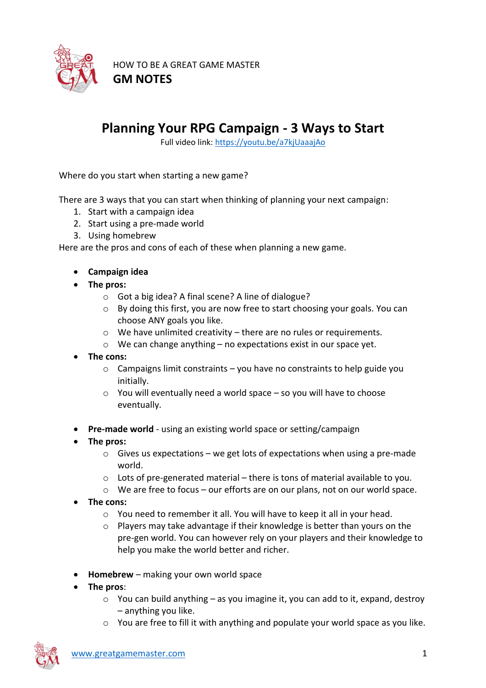

HOW TO BE A GREAT GAME MASTER **GM NOTES**

## **Planning Your RPG Campaign - 3 Ways to Start**

Full video link:<https://youtu.be/a7kjUaaajAo>

Where do you start when starting a new game?

There are 3 ways that you can start when thinking of planning your next campaign:

- 1. Start with a campaign idea
- 2. Start using a pre-made world
- 3. Using homebrew

Here are the pros and cons of each of these when planning a new game.

- **Campaign idea**
- **The pros:**
	- o Got a big idea? A final scene? A line of dialogue?
	- o By doing this first, you are now free to start choosing your goals. You can choose ANY goals you like.
	- $\circ$  We have unlimited creativity there are no rules or requirements.
	- o We can change anything no expectations exist in our space yet.
- **The cons:**
	- $\circ$  Campaigns limit constraints you have no constraints to help guide you initially.
	- $\circ$  You will eventually need a world space so you will have to choose eventually.
- **Pre-made world** using an existing world space or setting/campaign
- **The pros:**
	- $\circ$  Gives us expectations we get lots of expectations when using a pre-made world.
	- o Lots of pre-generated material there is tons of material available to you.
	- o We are free to focus our efforts are on our plans, not on our world space.
- **The cons:** 
	- o You need to remember it all. You will have to keep it all in your head.
	- o Players may take advantage if their knowledge is better than yours on the pre-gen world. You can however rely on your players and their knowledge to help you make the world better and richer.
- **Homebrew** making your own world space
- **The pros**:
	- $\circ$  You can build anything as you imagine it, you can add to it, expand, destroy – anything you like.
	- $\circ$  You are free to fill it with anything and populate your world space as you like.